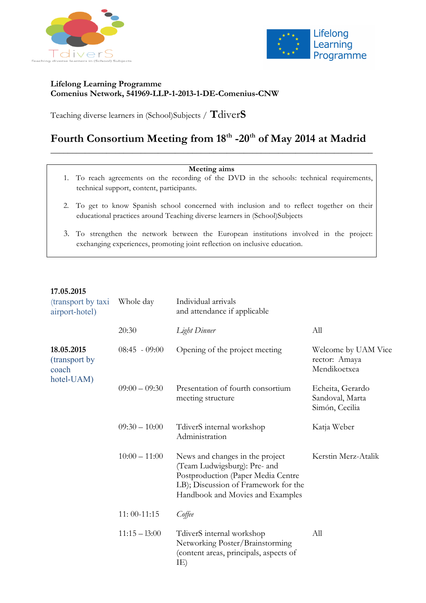



#### **Lifelong Learning Programme Comenius Network, 541969-LLP-1-2013-1-DE-Comenius-CNW**

Teaching diverse learners in (School)Subjects / **T**diver**S**

## Fourth Consortium Meeting from 18<sup>th</sup> -20<sup>th</sup> of May 2014 at Madrid \_\_\_\_\_\_\_\_\_\_\_\_\_\_\_\_\_\_\_\_\_\_\_\_\_\_\_\_\_\_\_\_\_\_\_\_\_\_\_\_\_\_\_\_\_\_\_\_\_\_\_\_\_\_\_\_\_\_\_\_\_\_\_\_\_\_\_\_\_\_\_\_\_\_\_

#### **Meeting aims**

- 1. To reach agreements on the recording of the DVD in the schools: technical requirements, technical support, content, participants.
- 2. To get to know Spanish school concerned with inclusion and to reflect together on their educational practices around Teaching diverse learners in (School)Subjects
- 3. To strengthen the network between the European institutions involved in the project: exchanging experiences, promoting joint reflection on inclusive education.

#### **17.05.2015**

| (transport by taxi<br>airport-hotel)                | Whole day       | Individual arrivals<br>and attendance if applicable                                                                                                                               |                                                       |
|-----------------------------------------------------|-----------------|-----------------------------------------------------------------------------------------------------------------------------------------------------------------------------------|-------------------------------------------------------|
|                                                     | 20:30           | Light Dinner                                                                                                                                                                      | All                                                   |
| 18.05.2015<br>(transport by)<br>coach<br>hotel-UAM) | $08:45 - 09:00$ | Opening of the project meeting                                                                                                                                                    | Welcome by UAM Vice<br>rector: Amaya<br>Mendikoetxea  |
|                                                     | $09:00 - 09:30$ | Presentation of fourth consortium<br>meeting structure                                                                                                                            | Echeita, Gerardo<br>Sandoval, Marta<br>Simón, Cecilia |
|                                                     | $09:30 - 10:00$ | TdiverS internal workshop<br>Administration                                                                                                                                       | Katja Weber                                           |
|                                                     | $10:00 - 11:00$ | News and changes in the project<br>(Team Ludwigsburg): Pre- and<br>Postproduction (Paper Media Centre<br>LB); Discussion of Framework for the<br>Handbook and Movies and Examples | Kerstin Merz-Atalik                                   |
|                                                     | $11:00-11:15$   | Coffee                                                                                                                                                                            |                                                       |
|                                                     | $11:15 - 13:00$ | TdiverS internal workshop<br>Networking Poster/Brainstorming<br>(content areas, principals, aspects of<br>IE)                                                                     | All                                                   |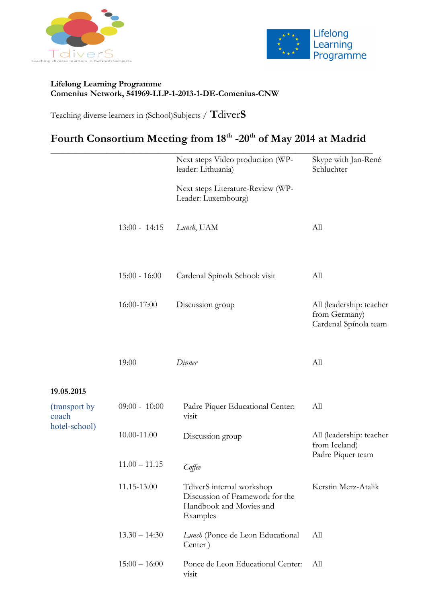



### **Lifelong Learning Programme Comenius Network, 541969-LLP-1-2013-1-DE-Comenius-CNW**

Teaching diverse learners in (School)Subjects / **T**diver**S**

# Fourth Consortium Meeting from 18<sup>th</sup> -20<sup>th</sup> of May 2014 at Madrid

|                                         |                 | Next steps Video production (WP-<br>leader: Lithuania)                                              | Skype with Jan-René<br>Schluchter                                  |
|-----------------------------------------|-----------------|-----------------------------------------------------------------------------------------------------|--------------------------------------------------------------------|
|                                         |                 | Next steps Literature-Review (WP-<br>Leader: Luxembourg)                                            |                                                                    |
|                                         | $13:00 - 14:15$ | Lunch, UAM                                                                                          | All                                                                |
|                                         | $15:00 - 16:00$ | Cardenal Spínola School: visit                                                                      | All                                                                |
|                                         | 16:00-17:00     | Discussion group                                                                                    | All (leadership: teacher<br>from Germany)<br>Cardenal Spínola team |
|                                         | 19:00           | Dinner                                                                                              | All                                                                |
| 19.05.2015                              |                 |                                                                                                     |                                                                    |
| (transport by<br>coach<br>hotel-school) | $09:00 - 10:00$ | Padre Piquer Educational Center:<br>visit                                                           | All                                                                |
|                                         | 10.00-11.00     | Discussion group                                                                                    | All (leadership: teacher<br>from Iceland)<br>Padre Piquer team     |
|                                         | $11.00 - 11.15$ | Coffee                                                                                              |                                                                    |
|                                         | 11.15-13.00     | TdiverS internal workshop<br>Discussion of Framework for the<br>Handbook and Movies and<br>Examples | Kerstin Merz-Atalik                                                |
|                                         | $13.30 - 14:30$ | Lunch (Ponce de Leon Educational<br>Center)                                                         | All                                                                |
|                                         | $15:00 - 16:00$ | Ponce de Leon Educational Center:<br>visit                                                          | All                                                                |